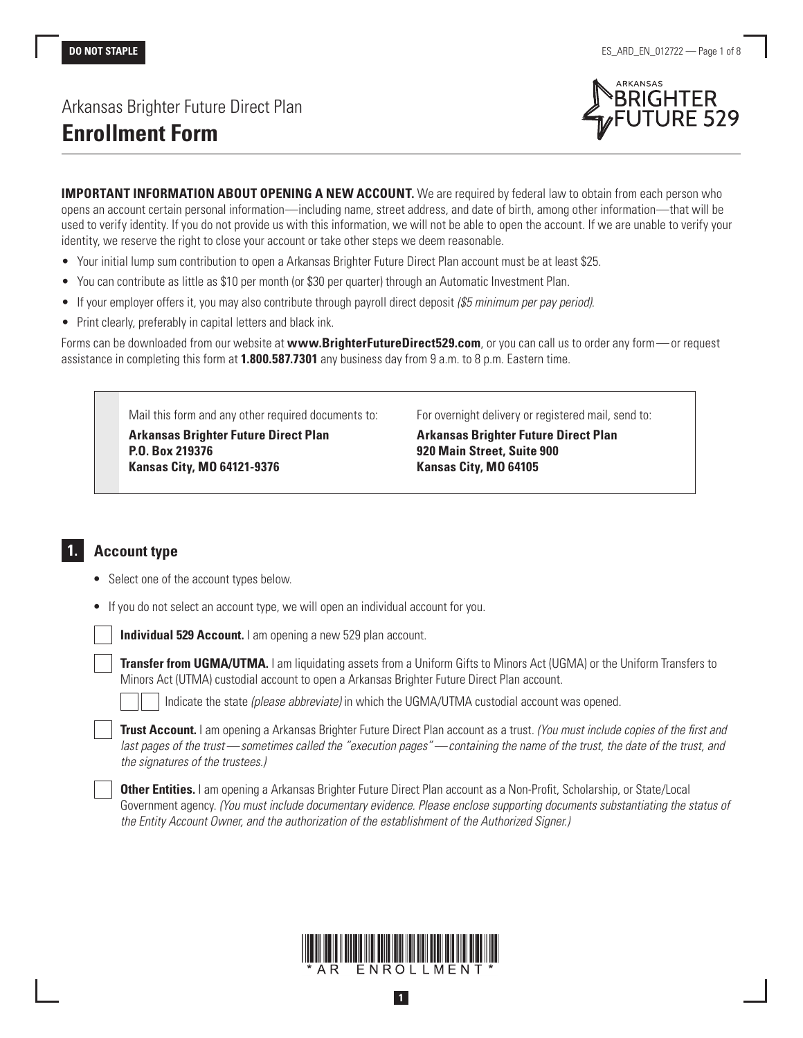Arkansas Brighter Future Direct Plan **Enrollment Form**



**IMPORTANT INFORMATION ABOUT OPENING A NEW ACCOUNT.** We are required by federal law to obtain from each person who opens an account certain personal information—including name, street address, and date of birth, among other information—that will be used to verify identity. If you do not provide us with this information, we will not be able to open the account. If we are unable to verify your identity, we reserve the right to close your account or take other steps we deem reasonable.

- Your initial lump sum contribution to open a Arkansas Brighter Future Direct Plan account must be at least \$25.
- You can contribute as little as \$10 per month (or \$30 per quarter) through an Automatic Investment Plan.
- If your employer offers it, you may also contribute through payroll direct deposit *(\$5 minimum per pay period)*.
- Print clearly, preferably in capital letters and black ink.

Forms can be downloaded from our website at **www.BrighterFutureDirect529.com**, or you can call us to order any form—or request assistance in completing this form at **1.800.587.7301** any business day from 9 a.m. to 8 p.m. Eastern time.

Mail this form and any other required documents to:

**Arkansas Brighter Future Direct Plan P.O. Box 219376 Kansas City, MO 64121-9376**

For overnight delivery or registered mail, send to:

**Arkansas Brighter Future Direct Plan 920 Main Street, Suite 900 Kansas City, MO 64105**

## **1. Account type**

- Select one of the account types below.
- If you do not select an account type, we will open an individual account for you.

**Individual 529 Account.** I am opening a new 529 plan account.

 **Transfer from UGMA/UTMA.** I am liquidating assets from a Uniform Gifts to Minors Act (UGMA) or the Uniform Transfers to Minors Act (UTMA) custodial account to open a Arkansas Brighter Future Direct Plan account.

Indicate the state *(please abbreviate)* in which the UGMA/UTMA custodial account was opened.

**Trust Account.** I am opening a Arkansas Brighter Future Direct Plan account as a trust. *(You must include copies of the first and last pages of the trust—sometimes called the "execution pages"—containing the name of the trust, the date of the trust, and the signatures of the trustees.)*

**Other Entities.** I am opening a Arkansas Brighter Future Direct Plan account as a Non-Profit, Scholarship, or State/Local Government agency. *(You must include documentary evidence. Please enclose supporting documents substantiating the status of the Entity Account Owner, and the authorization of the establishment of the Authorized Signer.)*



**1**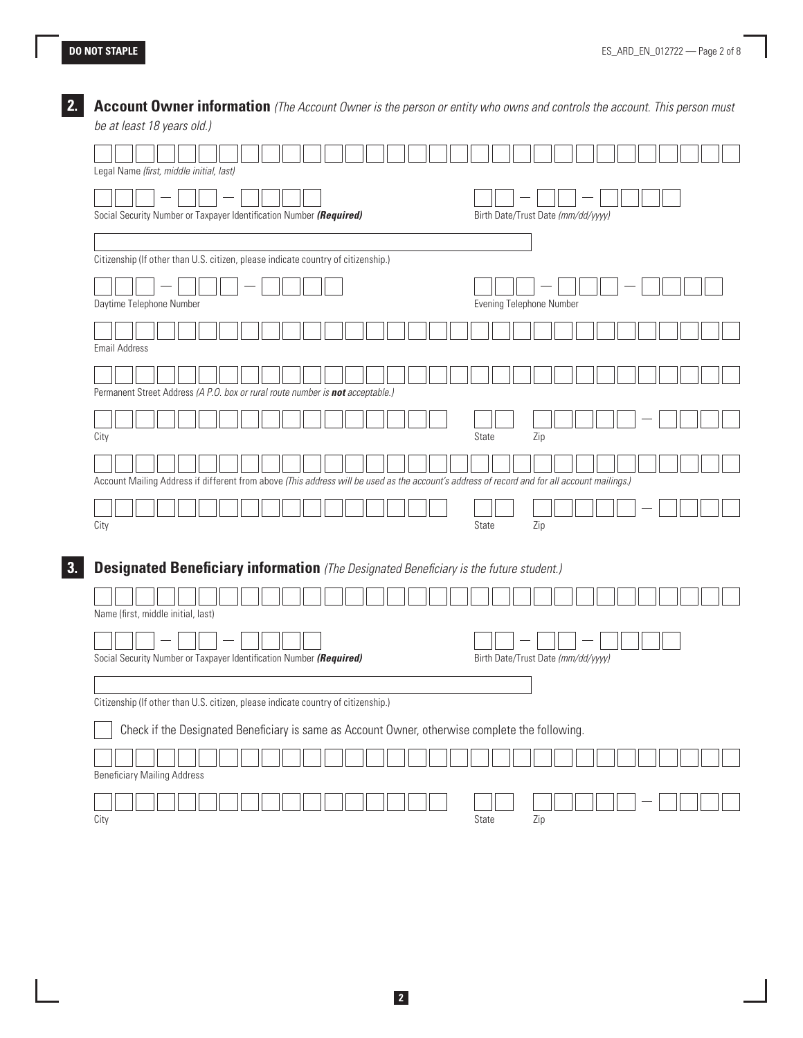**2. Account Owner information** *(The Account Owner is the person or entity who owns and controls the account. This person must be at least 18 years old.)*

Legal Name *(first, middle initial, last)*  $\overline{\phantom{0}}$ Social Security Number or Taxpayer Identification Number *(Required)* Birth Date/Trust Date *(mm/dd/yyyy)* Citizenship (If other than U.S. citizen, please indicate country of citizenship.) Daytime Telephone Number **Evening Telephone Number Evening Telephone Number Evening Telephone Number** Email Address Permanent Street Address *(A P.O. box or rural route number is not acceptable.)* City State Zip Account Mailing Address if different from above *(This address will be used as the account's address of record and for all account mailings.)* City State Zip **3. Designated Beneficiary information** *(The Designated Beneficiary is the future student.)* Name (first, middle initial, last) Social Security Number or Taxpayer Identification Number *(Required)* Birth Date/Trust Date *(mm/dd/yyyy)* Citizenship (If other than U.S. citizen, please indicate country of citizenship.) Check if the Designated Beneficiary is same as Account Owner, otherwise complete the following. Beneficiary Mailing Address

City State Zip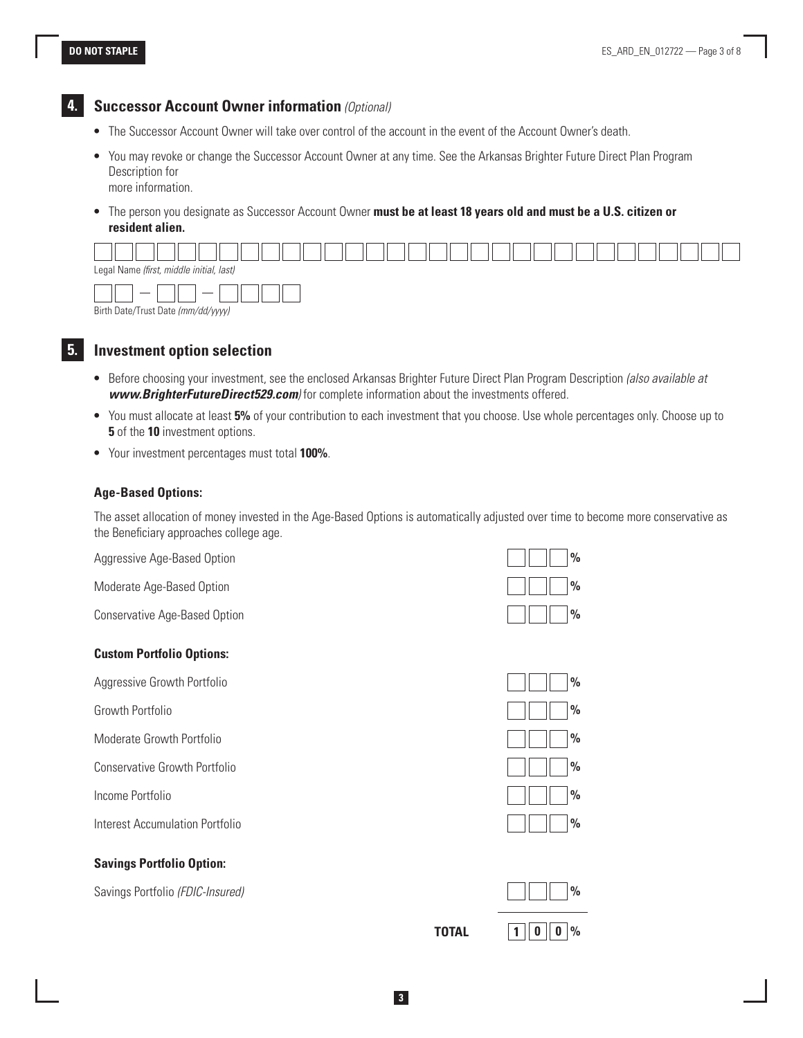

#### **4. Successor Account Owner information** *(Optional)*

- The Successor Account Owner will take over control of the account in the event of the Account Owner's death.
- You may revoke or change the Successor Account Owner at any time. See the Arkansas Brighter Future Direct Plan Program Description for more information.
- The person you designate as Successor Account Owner **must be at least 18 years old and must be a U.S. citizen or resident alien.**

| Legal Name (first, middle initial, last)             |  |
|------------------------------------------------------|--|
| $\overline{\phantom{a}}$<br>$\overline{\phantom{a}}$ |  |
| Birth Date/Trust Date (mm/dd/yyyy)                   |  |

## **5. Investment option selection**

- Before choosing your investment, see the enclosed Arkansas Brighter Future Direct Plan Program Description *(also available at www.BrighterFutureDirect529.com)* for complete information about the investments offered.
- You must allocate at least **5%** of your contribution to each investment that you choose. Use whole percentages only. Choose up to **5** of the **10** investment options.
- Your investment percentages must total **100%**.

#### **Age-Based Options:**

The asset allocation of money invested in the Age-Based Options is automatically adjusted over time to become more conservative as the Beneficiary approaches college age.

| Aggressive Age-Based Option   | $\begin{array}{ c c c c c c c c } \hline \end{array}$ $\begin{array}{ c c c c c c c c c } \hline \end{array}$ |  |
|-------------------------------|---------------------------------------------------------------------------------------------------------------|--|
| Moderate Age-Based Option     | $\parallel$ $\parallel$ $\parallel$ $\%$                                                                      |  |
| Conservative Age-Based Option | $\parallel$ $\parallel$ $\parallel$ $\%$                                                                      |  |

#### **Custom Portfolio Options:**

| <b>Savings Portfolio Option:</b> |               |
|----------------------------------|---------------|
| Interest Accumulation Portfolio  | $\frac{0}{0}$ |
| Income Portfolio                 | $\frac{0}{0}$ |
| Conservative Growth Portfolio    | $\frac{0}{0}$ |
| Moderate Growth Portfolio        | $\frac{0}{0}$ |
| Growth Portfolio                 | $\frac{0}{0}$ |
| Aggressive Growth Portfolio      | $\frac{0}{0}$ |



Savings Portfolio *(FDIC-Insured)* **%**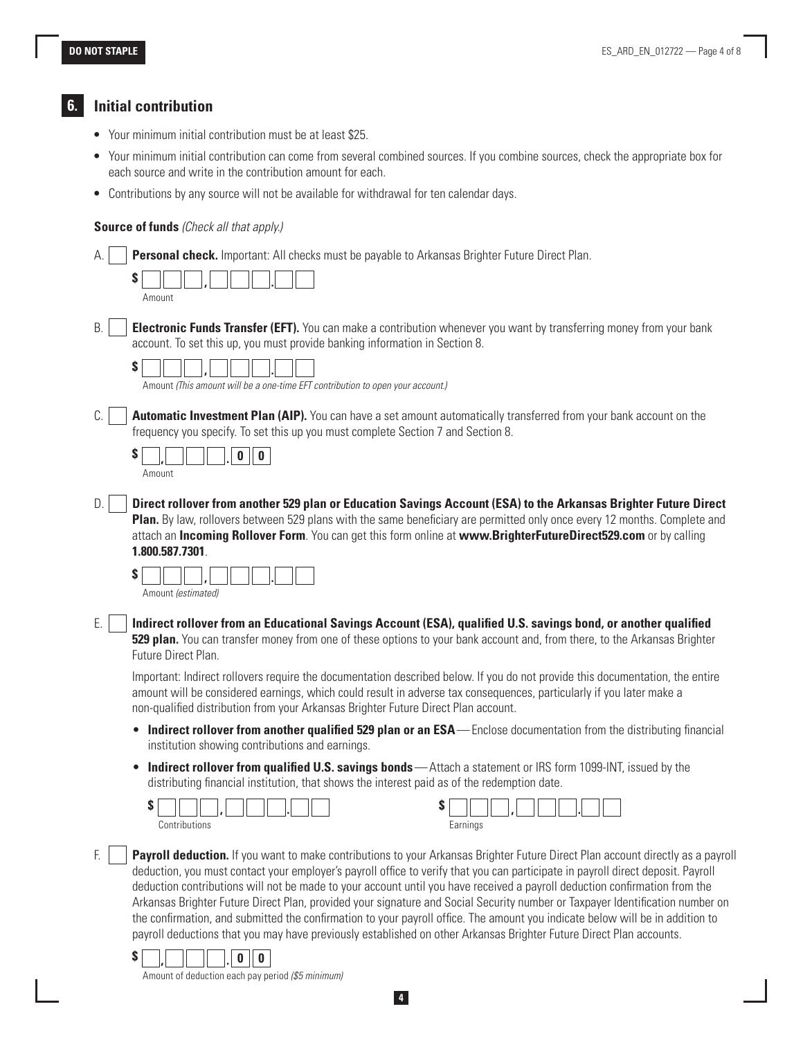## **6. Initial contribution**

- Your minimum initial contribution must be at least \$25.
- Your minimum initial contribution can come from several combined sources. If you combine sources, check the appropriate box for each source and write in the contribution amount for each.
- Contributions by any source will not be available for withdrawal for ten calendar days.

#### **Source of funds** *(Check all that apply.)*

A. **Personal check.** Important: All checks must be payable to Arkansas Brighter Future Direct Plan.



B. **Electronic Funds Transfer (EFT).** You can make a contribution whenever you want by transferring money from your bank account. To set this up, you must provide banking information in Section 8.

**\$ , .**

Amount *(This amount will be a one-time EFT contribution to open your account.)*

C. **Automatic Investment Plan (AIP).** You can have a set amount automatically transferred from your bank account on the frequency you specify. To set this up you must complete Section 7 and Section 8.



D. **Direct rollover from another 529 plan or Education Savings Account (ESA) to the Arkansas Brighter Future Direct Plan.** By law, rollovers between 529 plans with the same beneficiary are permitted only once every 12 months. Complete and attach an **Incoming Rollover Form**. You can get this form online at **www.BrighterFutureDirect529.com** or by calling **1.800.587.7301**.



Amount *(estimated)*

E. **Indirect rollover from an Educational Savings Account (ESA), qualified U.S. savings bond, or another qualified 529 plan.** You can transfer money from one of these options to your bank account and, from there, to the Arkansas Brighter Future Direct Plan.

Important: Indirect rollovers require the documentation described below. If you do not provide this documentation, the entire amount will be considered earnings, which could result in adverse tax consequences, particularly if you later make a non-qualified distribution from your Arkansas Brighter Future Direct Plan account.

- **Indirect rollover from another qualified 529 plan or an ESA**—Enclose documentation from the distributing financial institution showing contributions and earnings.
- **Indirect rollover from qualified U.S. savings bonds**—Attach a statement or IRS form 1099-INT, issued by the distributing financial institution, that shows the interest paid as of the redemption date.



F. **Payroll deduction.** If you want to make contributions to your Arkansas Brighter Future Direct Plan account directly as a payroll deduction, you must contact your employer's payroll office to verify that you can participate in payroll direct deposit. Payroll deduction contributions will not be made to your account until you have received a payroll deduction confirmation from the Arkansas Brighter Future Direct Plan, provided your signature and Social Security number or Taxpayer Identification number on the confirmation, and submitted the confirmation to your payroll office. The amount you indicate below will be in addition to payroll deductions that you may have previously established on other Arkansas Brighter Future Direct Plan accounts.



Amount of deduction each pay period *(\$5 minimum)*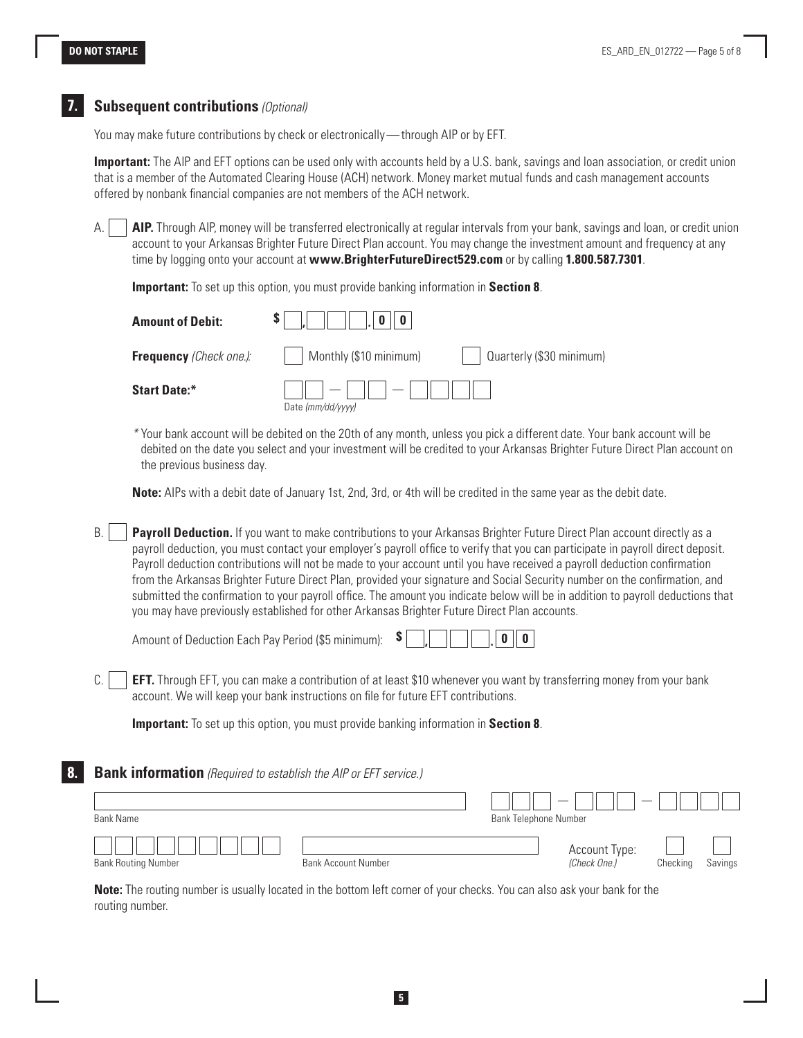## **7. Subsequent contributions** *(Optional)*

You may make future contributions by check or electronically—through AIP or by EFT.

**Important:** The AIP and EFT options can be used only with accounts held by a U.S. bank, savings and loan association, or credit union that is a member of the Automated Clearing House (ACH) network. Money market mutual funds and cash management accounts offered by nonbank financial companies are not members of the ACH network.

A. **AIP.** Through AIP, money will be transferred electronically at regular intervals from your bank, savings and loan, or credit union account to your Arkansas Brighter Future Direct Plan account. You may change the investment amount and frequency at any time by logging onto your account at **www.BrighterFutureDirect529.com** or by calling **1.800.587.7301**.

**Important:** To set up this option, you must provide banking information in **Section 8**.

| <b>Amount of Debit:</b>    |                                                                                                                                                                                                                                                                                                                                                                                                                                                                                                                                                                                                                                                                                                                                                                                                                        |
|----------------------------|------------------------------------------------------------------------------------------------------------------------------------------------------------------------------------------------------------------------------------------------------------------------------------------------------------------------------------------------------------------------------------------------------------------------------------------------------------------------------------------------------------------------------------------------------------------------------------------------------------------------------------------------------------------------------------------------------------------------------------------------------------------------------------------------------------------------|
| Frequency (Check one.):    | Monthly (\$10 minimum)<br>Quarterly (\$30 minimum)                                                                                                                                                                                                                                                                                                                                                                                                                                                                                                                                                                                                                                                                                                                                                                     |
| <b>Start Date:*</b>        | Date (mm/dd/yyyy)                                                                                                                                                                                                                                                                                                                                                                                                                                                                                                                                                                                                                                                                                                                                                                                                      |
| the previous business day. | *Your bank account will be debited on the 20th of any month, unless you pick a different date. Your bank account will be<br>debited on the date you select and your investment will be credited to your Arkansas Brighter Future Direct Plan account on                                                                                                                                                                                                                                                                                                                                                                                                                                                                                                                                                                |
|                            | <b>Note:</b> AIPs with a debit date of January 1st, 2nd, 3rd, or 4th will be credited in the same year as the debit date.                                                                                                                                                                                                                                                                                                                                                                                                                                                                                                                                                                                                                                                                                              |
| <b>B.</b>                  | Payroll Deduction. If you want to make contributions to your Arkansas Brighter Future Direct Plan account directly as a<br>payroll deduction, you must contact your employer's payroll office to verify that you can participate in payroll direct deposit.<br>Payroll deduction contributions will not be made to your account until you have received a payroll deduction confirmation<br>from the Arkansas Brighter Future Direct Plan, provided your signature and Social Security number on the confirmation, and<br>submitted the confirmation to your payroll office. The amount you indicate below will be in addition to payroll deductions that<br>you may have previously established for other Arkansas Brighter Future Direct Plan accounts.<br>\$.<br>Amount of Deduction Each Pay Period (\$5 minimum): |
| C.                         | EFT. Through EFT, you can make a contribution of at least \$10 whenever you want by transferring money from your bank<br>account. We will keep your bank instructions on file for future EFT contributions.                                                                                                                                                                                                                                                                                                                                                                                                                                                                                                                                                                                                            |
|                            | <b>Important:</b> To set up this option, you must provide banking information in Section 8.                                                                                                                                                                                                                                                                                                                                                                                                                                                                                                                                                                                                                                                                                                                            |
| 8 <sub>1</sub>             | <b>Bank information</b> (Required to establish the AIP or EFT service.)                                                                                                                                                                                                                                                                                                                                                                                                                                                                                                                                                                                                                                                                                                                                                |

|                            |                            |                              |               | $\overline{\phantom{a}}$ |         |
|----------------------------|----------------------------|------------------------------|---------------|--------------------------|---------|
| Bank Name                  |                            | <b>Bank Telephone Number</b> |               |                          |         |
|                            |                            |                              | Account Type: |                          |         |
| <b>Bank Routing Number</b> | <b>Bank Account Number</b> |                              | (Check One.)  | Checking                 | Savings |

**Note:** The routing number is usually located in the bottom left corner of your checks. You can also ask your bank for the routing number.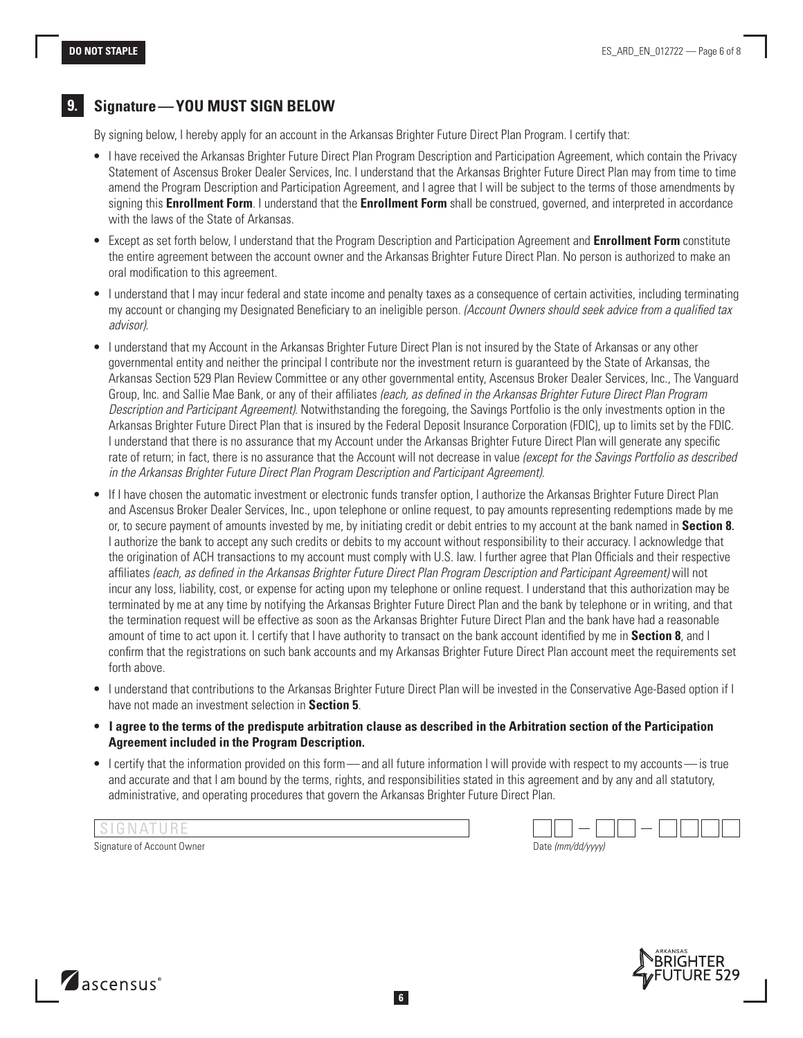# **9. Signature—YOU MUST SIGN BELOW**

By signing below, I hereby apply for an account in the Arkansas Brighter Future Direct Plan Program. I certify that:

- I have received the Arkansas Brighter Future Direct Plan Program Description and Participation Agreement, which contain the Privacy Statement of Ascensus Broker Dealer Services, Inc. I understand that the Arkansas Brighter Future Direct Plan may from time to time amend the Program Description and Participation Agreement, and I agree that I will be subject to the terms of those amendments by signing this **Enrollment Form**. I understand that the **Enrollment Form** shall be construed, governed, and interpreted in accordance with the laws of the State of Arkansas.
- Except as set forth below, I understand that the Program Description and Participation Agreement and **Enrollment Form** constitute the entire agreement between the account owner and the Arkansas Brighter Future Direct Plan. No person is authorized to make an oral modification to this agreement.
- I understand that I may incur federal and state income and penalty taxes as a consequence of certain activities, including terminating my account or changing my Designated Beneficiary to an ineligible person. *(Account Owners should seek advice from a qualified tax advisor).*
- I understand that my Account in the Arkansas Brighter Future Direct Plan is not insured by the State of Arkansas or any other governmental entity and neither the principal I contribute nor the investment return is guaranteed by the State of Arkansas, the Arkansas Section 529 Plan Review Committee or any other governmental entity, Ascensus Broker Dealer Services, Inc., The Vanguard Group, Inc. and Sallie Mae Bank, or any of their affiliates *(each, as defined in the Arkansas Brighter Future Direct Plan Program Description and Participant Agreement)*. Notwithstanding the foregoing, the Savings Portfolio is the only investments option in the Arkansas Brighter Future Direct Plan that is insured by the Federal Deposit Insurance Corporation (FDIC), up to limits set by the FDIC. I understand that there is no assurance that my Account under the Arkansas Brighter Future Direct Plan will generate any specific rate of return; in fact, there is no assurance that the Account will not decrease in value *(except for the Savings Portfolio as described in the Arkansas Brighter Future Direct Plan Program Description and Participant Agreement)*.
- If I have chosen the automatic investment or electronic funds transfer option, I authorize the Arkansas Brighter Future Direct Plan and Ascensus Broker Dealer Services, Inc., upon telephone or online request, to pay amounts representing redemptions made by me or, to secure payment of amounts invested by me, by initiating credit or debit entries to my account at the bank named in **Section 8**. I authorize the bank to accept any such credits or debits to my account without responsibility to their accuracy. I acknowledge that the origination of ACH transactions to my account must comply with U.S. law. I further agree that Plan Officials and their respective affiliates *(each, as defined in the Arkansas Brighter Future Direct Plan Program Description and Participant Agreement)* will not incur any loss, liability, cost, or expense for acting upon my telephone or online request. I understand that this authorization may be terminated by me at any time by notifying the Arkansas Brighter Future Direct Plan and the bank by telephone or in writing, and that the termination request will be effective as soon as the Arkansas Brighter Future Direct Plan and the bank have had a reasonable amount of time to act upon it. I certify that I have authority to transact on the bank account identified by me in **Section 8**, and I confirm that the registrations on such bank accounts and my Arkansas Brighter Future Direct Plan account meet the requirements set forth above.
- I understand that contributions to the Arkansas Brighter Future Direct Plan will be invested in the Conservative Age-Based option if I have not made an investment selection in **Section 5**.
- **I agree to the terms of the predispute arbitration clause as described in the Arbitration section of the Participation Agreement included in the Program Description.**
- I certify that the information provided on this form—and all future information I will provide with respect to my accounts—is true and accurate and that I am bound by the terms, rights, and responsibilities stated in this agreement and by any and all statutory, administrative, and operating procedures that govern the Arkansas Brighter Future Direct Plan.

ascensus<sup>®</sup>

Signature of Account Owner **Date** (mm/dd/yyyy)



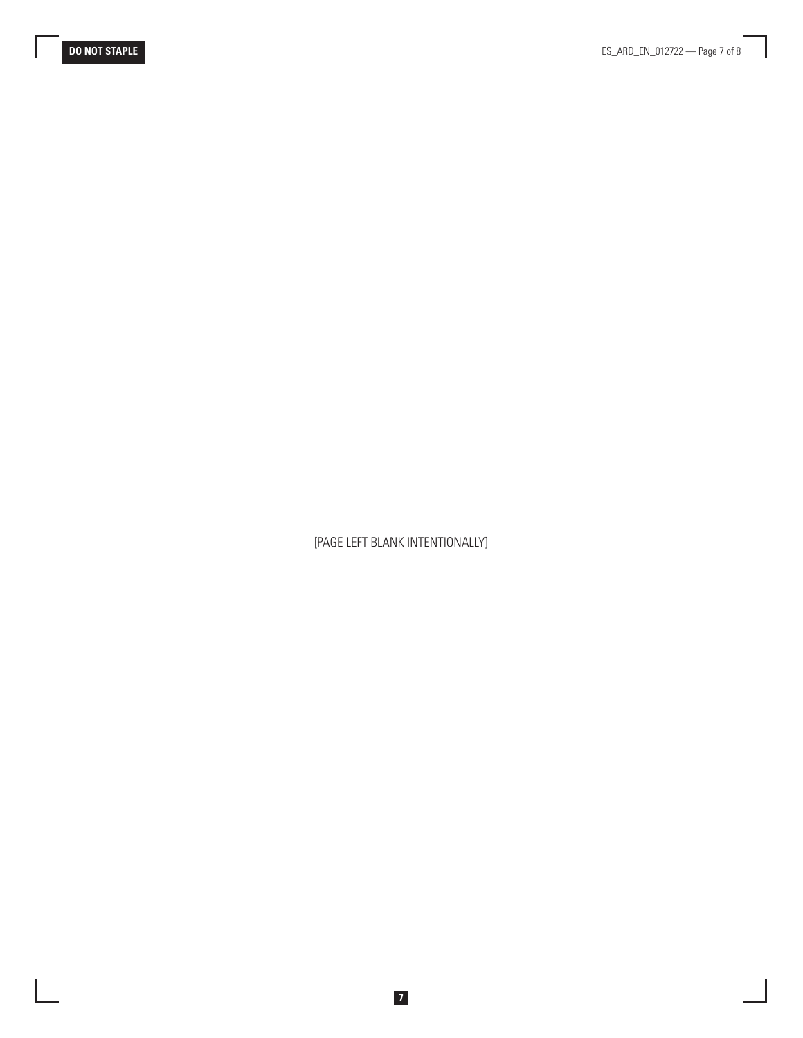[PAGE LEFT BLANK INTENTIONALLY]